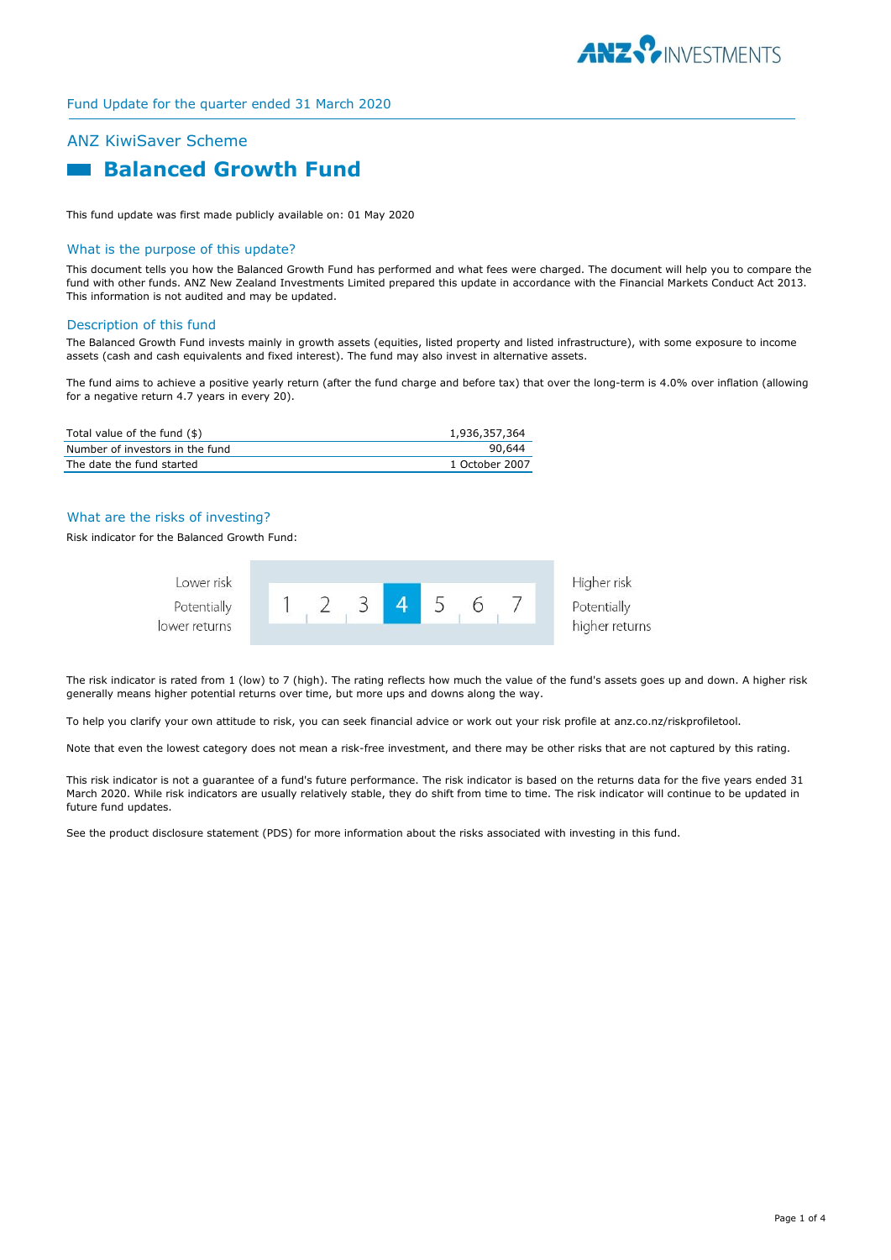

# ANZ KiwiSaver Scheme  **Balanced Growth Fund**

This fund update was first made publicly available on: 01 May 2020

#### What is the purpose of this update?

This document tells you how the Balanced Growth Fund has performed and what fees were charged. The document will help you to compare the fund with other funds. ANZ New Zealand Investments Limited prepared this update in accordance with the Financial Markets Conduct Act 2013. This information is not audited and may be updated.

#### Description of this fund

The Balanced Growth Fund invests mainly in growth assets (equities, listed property and listed infrastructure), with some exposure to income assets (cash and cash equivalents and fixed interest). The fund may also invest in alternative assets.

The fund aims to achieve a positive yearly return (after the fund charge and before tax) that over the long-term is 4.0% over inflation (allowing for a negative return 4.7 years in every 20).

| Total value of the fund (\$)    | 1,936,357,364  |
|---------------------------------|----------------|
| Number of investors in the fund | 90.644         |
| The date the fund started       | 1 October 2007 |

# What are the risks of investing?

Risk indicator for the Balanced Growth Fund:



The risk indicator is rated from 1 (low) to 7 (high). The rating reflects how much the value of the fund's assets goes up and down. A higher risk generally means higher potential returns over time, but more ups and downs along the way.

To help you clarify your own attitude to risk, you can seek financial advice or work out your risk profile at anz.co.nz/riskprofiletool.

Note that even the lowest category does not mean a risk-free investment, and there may be other risks that are not captured by this rating.

This risk indicator is not a guarantee of a fund's future performance. The risk indicator is based on the returns data for the five years ended 31 March 2020. While risk indicators are usually relatively stable, they do shift from time to time. The risk indicator will continue to be updated in future fund updates.

See the product disclosure statement (PDS) for more information about the risks associated with investing in this fund.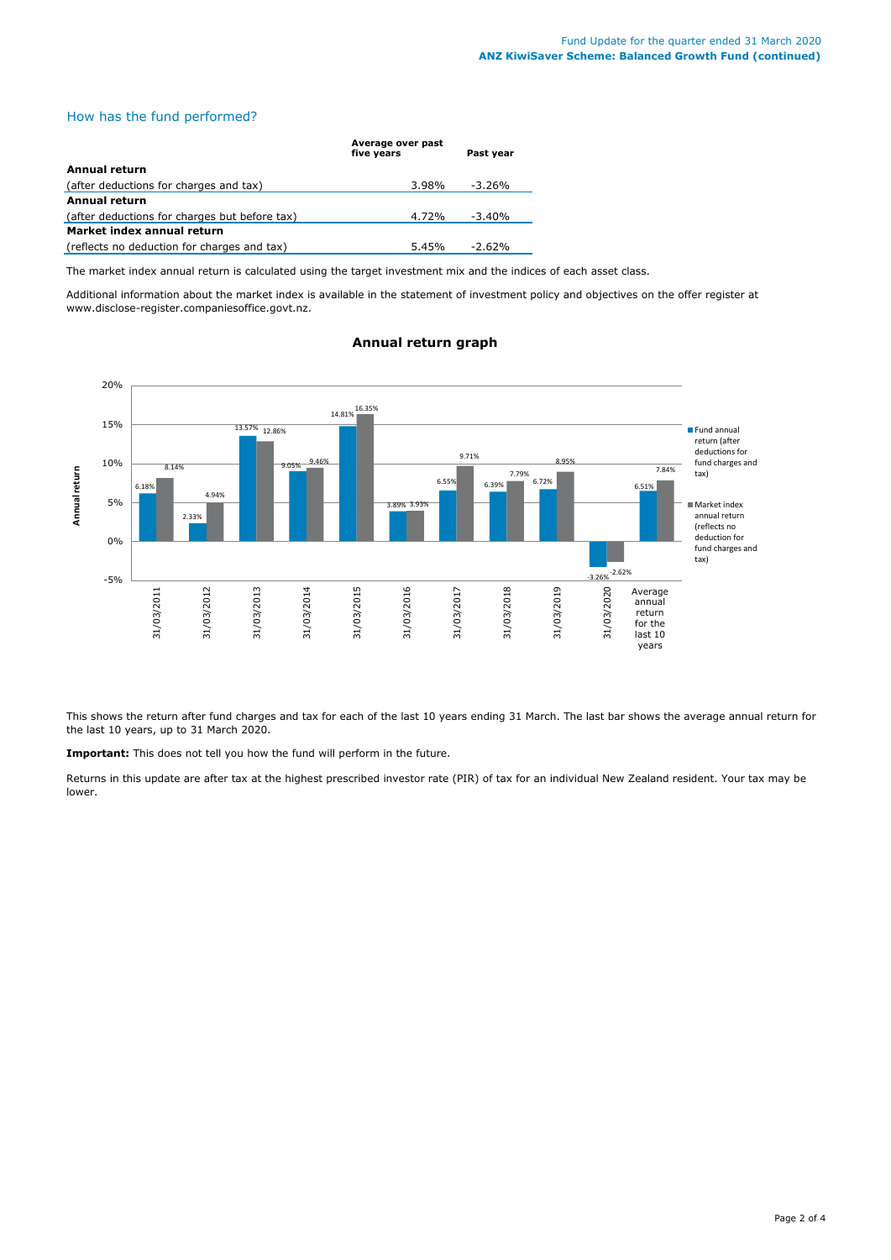# How has the fund performed?

|                                               | Average over past<br>five vears | Past vear |  |  |
|-----------------------------------------------|---------------------------------|-----------|--|--|
| <b>Annual return</b>                          |                                 |           |  |  |
| (after deductions for charges and tax)        | 3.98%                           | $-3.26%$  |  |  |
| <b>Annual return</b>                          |                                 |           |  |  |
| (after deductions for charges but before tax) | 4.72%                           | $-3.40%$  |  |  |
| Market index annual return                    |                                 |           |  |  |
| (reflects no deduction for charges and tax)   | 5.45%                           | $-2.62%$  |  |  |

The market index annual return is calculated using the target investment mix and the indices of each asset class.

Additional information about the market index is available in the statement of investment policy and objectives on the offer register at www.disclose-register.companiesoffice.govt.nz.



# **Annual return graph**

This shows the return after fund charges and tax for each of the last 10 years ending 31 March. The last bar shows the average annual return for the last 10 years, up to 31 March 2020.

**Important:** This does not tell you how the fund will perform in the future.

Returns in this update are after tax at the highest prescribed investor rate (PIR) of tax for an individual New Zealand resident. Your tax may be lower.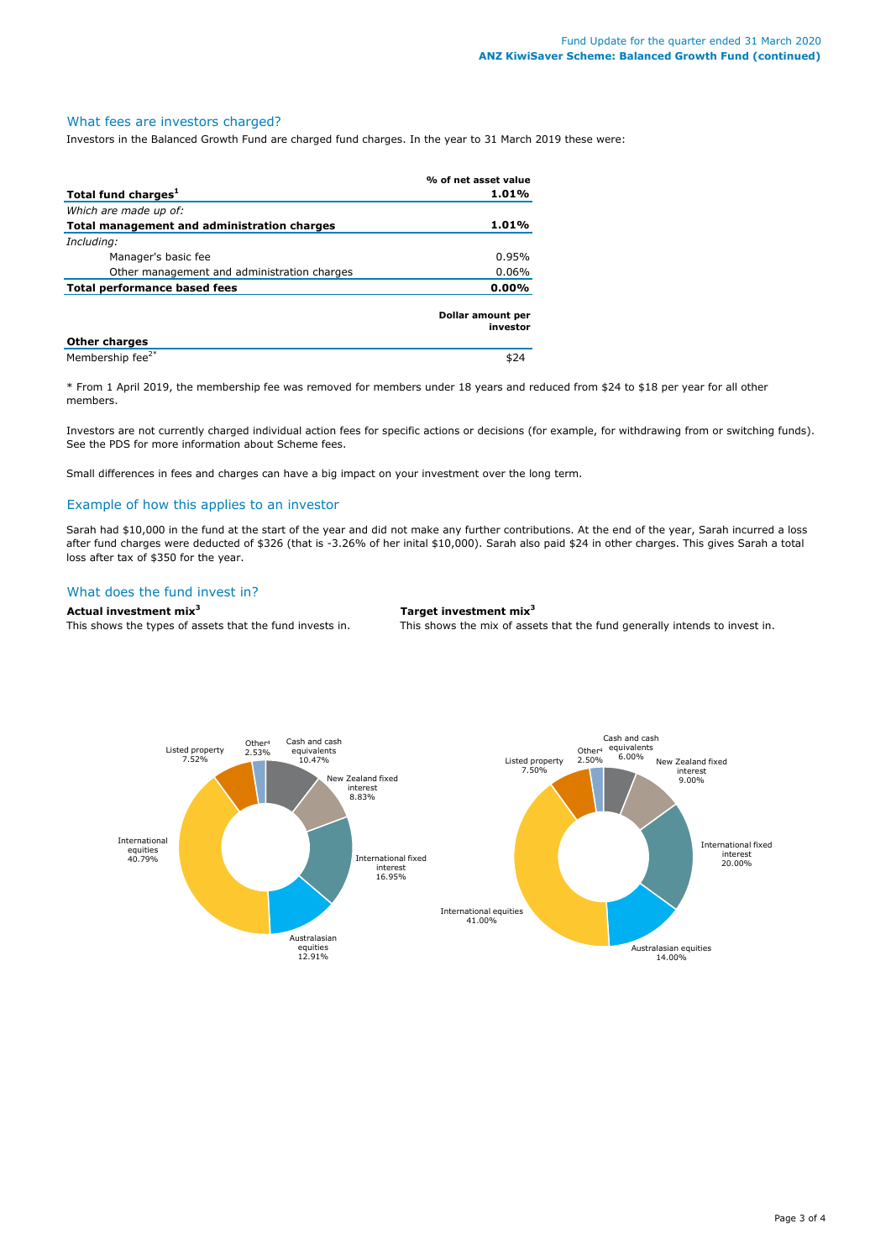#### What fees are investors charged?

Investors in the Balanced Growth Fund are charged fund charges. In the year to 31 March 2019 these were:

|                                             | % of net asset value          |
|---------------------------------------------|-------------------------------|
| Total fund charges <sup>1</sup>             | 1.01%                         |
| Which are made up of:                       |                               |
| Total management and administration charges | 1.01%                         |
| Including:                                  |                               |
| Manager's basic fee                         | 0.95%                         |
| Other management and administration charges | $0.06\%$                      |
| Total performance based fees                | $0.00\%$                      |
|                                             | Dollar amount per<br>investor |
| <b>Other charges</b>                        |                               |
| Membership fee <sup>2*</sup>                | \$24                          |

\* From 1 April 2019, the membership fee was removed for members under 18 years and reduced from \$24 to \$18 per year for all other members.

Investors are not currently charged individual action fees for specific actions or decisions (for example, for withdrawing from or switching funds). See the PDS for more information about Scheme fees.

Small differences in fees and charges can have a big impact on your investment over the long term.

# Example of how this applies to an investor

Sarah had \$10,000 in the fund at the start of the year and did not make any further contributions. At the end of the year, Sarah incurred a loss after fund charges were deducted of \$326 (that is -3.26% of her inital \$10,000). Sarah also paid \$24 in other charges. This gives Sarah a total loss after tax of \$350 for the year.

#### What does the fund invest in?

**Actual investment mix<sup>3</sup> Target investment mix<sup>3</sup>**

This shows the types of assets that the fund invests in. This shows the mix of assets that the fund generally intends to invest in.